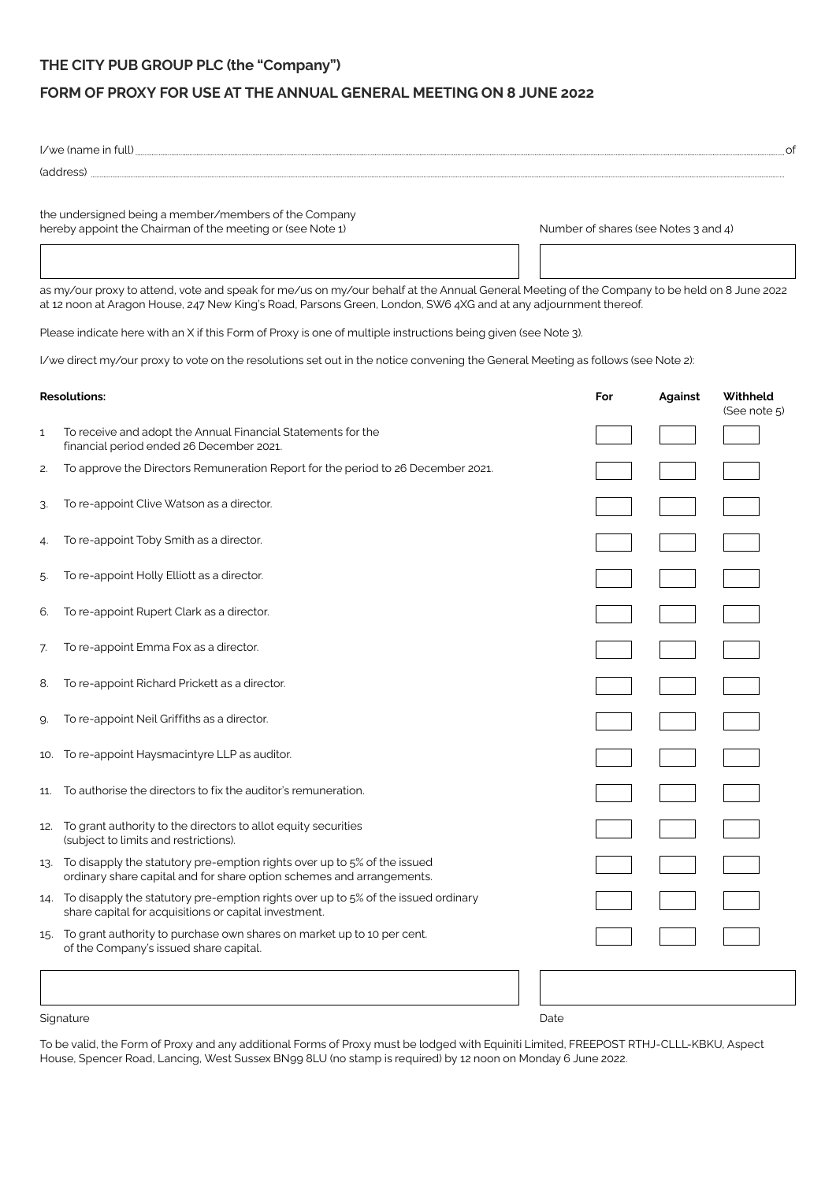## **THE CITY PUB GROUP PLC (the "Company")**

## **FORM OF PROXY FOR USE AT THE ANNUAL GENERAL MEETING ON 8 JUNE 2022**

|                                                                                                                     | (address) entertainment and the state of the state of the state of the state of the state of the state of the state of the state of the state of the state of the state of the state of the state of the state of the state of                                 |      |                                      |                          | of |
|---------------------------------------------------------------------------------------------------------------------|----------------------------------------------------------------------------------------------------------------------------------------------------------------------------------------------------------------------------------------------------------------|------|--------------------------------------|--------------------------|----|
| the undersigned being a member/members of the Company<br>hereby appoint the Chairman of the meeting or (see Note 1) |                                                                                                                                                                                                                                                                |      | Number of shares (see Notes 3 and 4) |                          |    |
|                                                                                                                     |                                                                                                                                                                                                                                                                |      |                                      |                          |    |
|                                                                                                                     | as my/our proxy to attend, vote and speak for me/us on my/our behalf at the Annual General Meeting of the Company to be held on 8 June 2022<br>at 12 noon at Aragon House, 247 New King's Road, Parsons Green, London, SW6 4XG and at any adjournment thereof. |      |                                      |                          |    |
|                                                                                                                     | Please indicate here with an X if this Form of Proxy is one of multiple instructions being given (see Note 3).                                                                                                                                                 |      |                                      |                          |    |
|                                                                                                                     | I/we direct my/our proxy to vote on the resolutions set out in the notice convening the General Meeting as follows (see Note 2):                                                                                                                               |      |                                      |                          |    |
| <b>Resolutions:</b>                                                                                                 |                                                                                                                                                                                                                                                                | For  | <b>Against</b>                       | Withheld<br>(See note 5) |    |
| $\mathbf{1}$                                                                                                        | To receive and adopt the Annual Financial Statements for the<br>financial period ended 26 December 2021.                                                                                                                                                       |      |                                      |                          |    |
| 2.                                                                                                                  | To approve the Directors Remuneration Report for the period to 26 December 2021.                                                                                                                                                                               |      |                                      |                          |    |
| З.                                                                                                                  | To re-appoint Clive Watson as a director.                                                                                                                                                                                                                      |      |                                      |                          |    |
| 4.                                                                                                                  | To re-appoint Toby Smith as a director.                                                                                                                                                                                                                        |      |                                      |                          |    |
| 5.                                                                                                                  | To re-appoint Holly Elliott as a director.                                                                                                                                                                                                                     |      |                                      |                          |    |
| 6.                                                                                                                  | To re-appoint Rupert Clark as a director.                                                                                                                                                                                                                      |      |                                      |                          |    |
| 7.                                                                                                                  | To re-appoint Emma Fox as a director.                                                                                                                                                                                                                          |      |                                      |                          |    |
| 8.                                                                                                                  | To re-appoint Richard Prickett as a director.                                                                                                                                                                                                                  |      |                                      |                          |    |
| 9.                                                                                                                  | To re-appoint Neil Griffiths as a director.                                                                                                                                                                                                                    |      |                                      |                          |    |
|                                                                                                                     | 10. To re-appoint Haysmacintyre LLP as auditor.                                                                                                                                                                                                                |      |                                      |                          |    |
| 11.                                                                                                                 | To authorise the directors to fix the auditor's remuneration.                                                                                                                                                                                                  |      |                                      |                          |    |
|                                                                                                                     | 12. To grant authority to the directors to allot equity securities<br>(subject to limits and restrictions).                                                                                                                                                    |      |                                      |                          |    |
|                                                                                                                     | 13. To disapply the statutory pre-emption rights over up to 5% of the issued<br>ordinary share capital and for share option schemes and arrangements.                                                                                                          |      |                                      |                          |    |
|                                                                                                                     | 14. To disapply the statutory pre-emption rights over up to 5% of the issued ordinary<br>share capital for acquisitions or capital investment.                                                                                                                 |      |                                      |                          |    |
| 15.                                                                                                                 | To grant authority to purchase own shares on market up to 10 per cent.<br>of the Company's issued share capital.                                                                                                                                               |      |                                      |                          |    |
|                                                                                                                     |                                                                                                                                                                                                                                                                |      |                                      |                          |    |
| Signature                                                                                                           |                                                                                                                                                                                                                                                                | Date |                                      |                          |    |

To be valid, the Form of Proxy and any additional Forms of Proxy must be lodged with Equiniti Limited, FREEPOST RTHJ-CLLL-KBKU, Aspect House, Spencer Road, Lancing, West Sussex BN99 8LU (no stamp is required) by 12 noon on Monday 6 June 2022.